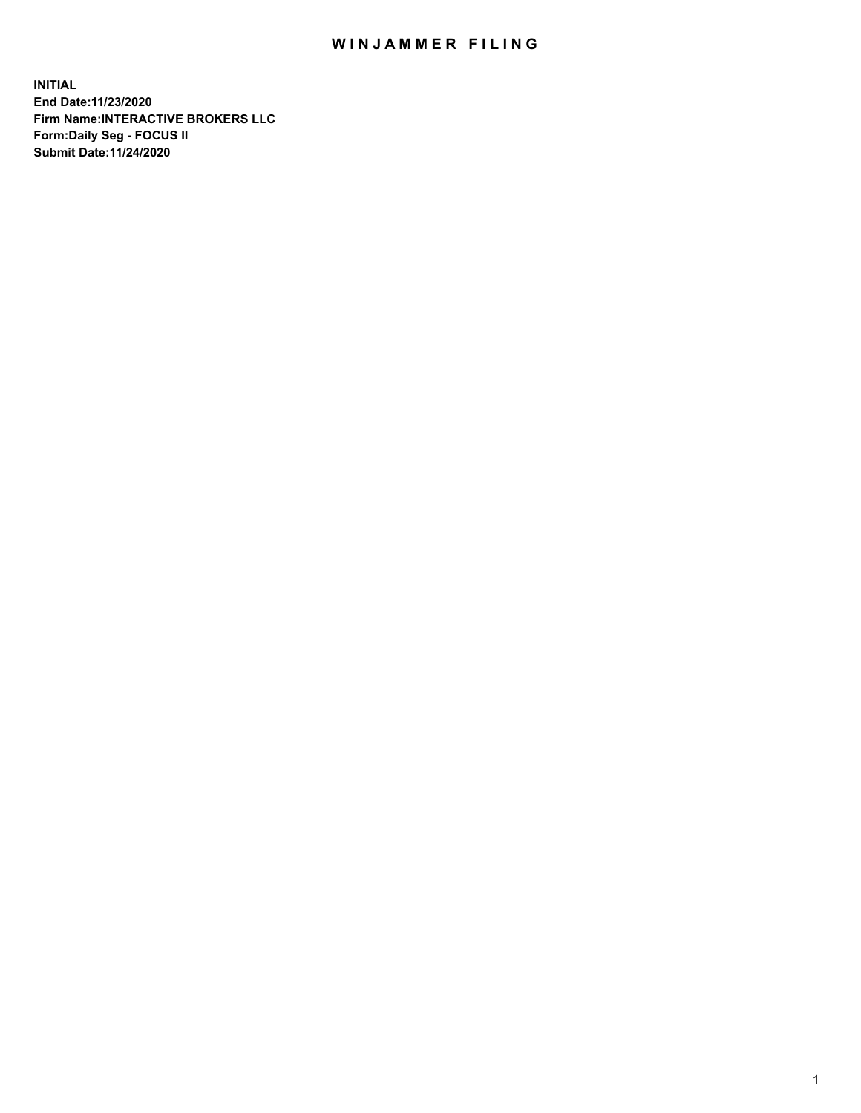## WIN JAMMER FILING

**INITIAL End Date:11/23/2020 Firm Name:INTERACTIVE BROKERS LLC Form:Daily Seg - FOCUS II Submit Date:11/24/2020**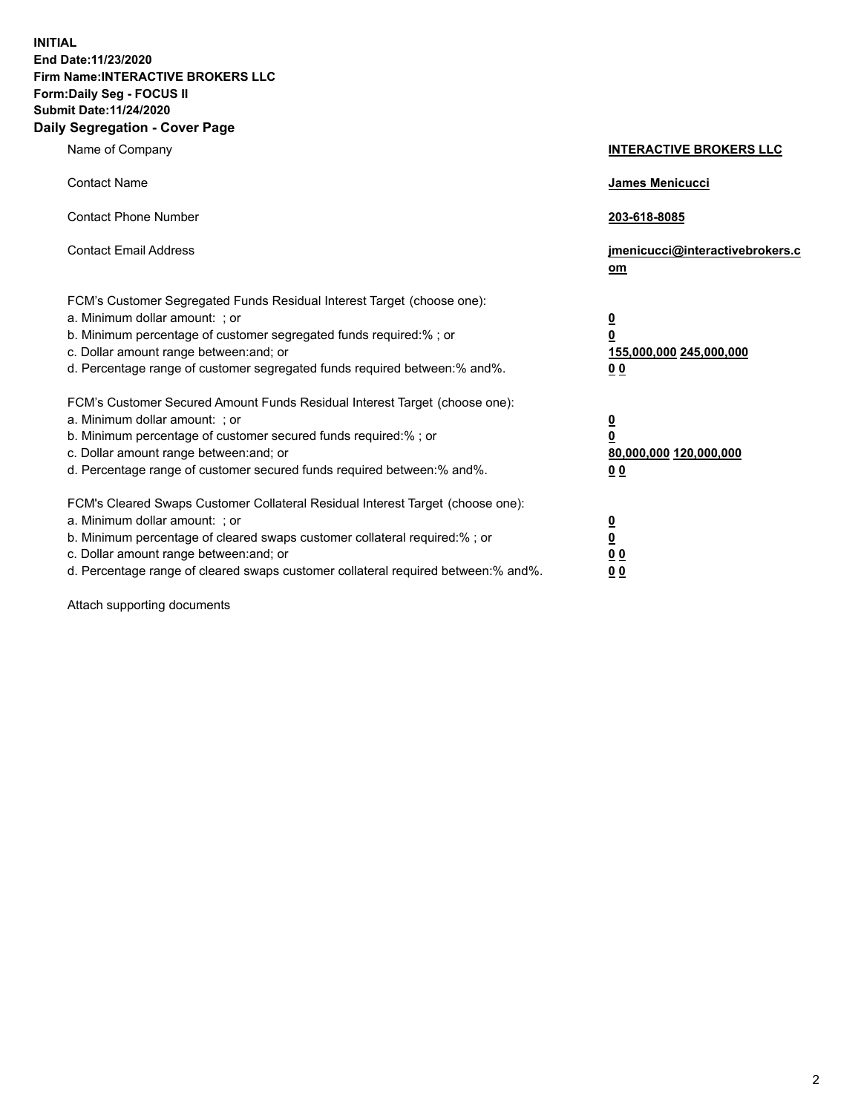**INITIAL End Date:11/23/2020 Firm Name:INTERACTIVE BROKERS LLC Form:Daily Seg - FOCUS II Submit Date:11/24/2020 Daily Segregation - Cover Page**

| Name of Company                                                                                                                                                                                                                                                                                                                | <b>INTERACTIVE BROKERS LLC</b>                                                                           |
|--------------------------------------------------------------------------------------------------------------------------------------------------------------------------------------------------------------------------------------------------------------------------------------------------------------------------------|----------------------------------------------------------------------------------------------------------|
| <b>Contact Name</b>                                                                                                                                                                                                                                                                                                            | James Menicucci                                                                                          |
| <b>Contact Phone Number</b>                                                                                                                                                                                                                                                                                                    | 203-618-8085                                                                                             |
| <b>Contact Email Address</b>                                                                                                                                                                                                                                                                                                   | jmenicucci@interactivebrokers.c<br>om                                                                    |
| FCM's Customer Segregated Funds Residual Interest Target (choose one):<br>a. Minimum dollar amount: ; or<br>b. Minimum percentage of customer segregated funds required:% ; or<br>c. Dollar amount range between: and; or<br>d. Percentage range of customer segregated funds required between:% and%.                         | $\overline{\mathbf{0}}$<br>$\overline{\mathbf{0}}$<br>155,000,000 245,000,000<br>0 <sub>0</sub>          |
| FCM's Customer Secured Amount Funds Residual Interest Target (choose one):<br>a. Minimum dollar amount: ; or<br>b. Minimum percentage of customer secured funds required:%; or<br>c. Dollar amount range between: and; or<br>d. Percentage range of customer secured funds required between:% and%.                            | $\overline{\mathbf{0}}$<br>$\overline{\mathbf{0}}$<br>80,000,000 120,000,000<br>00                       |
| FCM's Cleared Swaps Customer Collateral Residual Interest Target (choose one):<br>a. Minimum dollar amount: ; or<br>b. Minimum percentage of cleared swaps customer collateral required:% ; or<br>c. Dollar amount range between: and; or<br>d. Percentage range of cleared swaps customer collateral required between:% and%. | $\overline{\mathbf{0}}$<br>$\underline{\mathbf{0}}$<br>$\underline{0}$ $\underline{0}$<br>0 <sub>0</sub> |

Attach supporting documents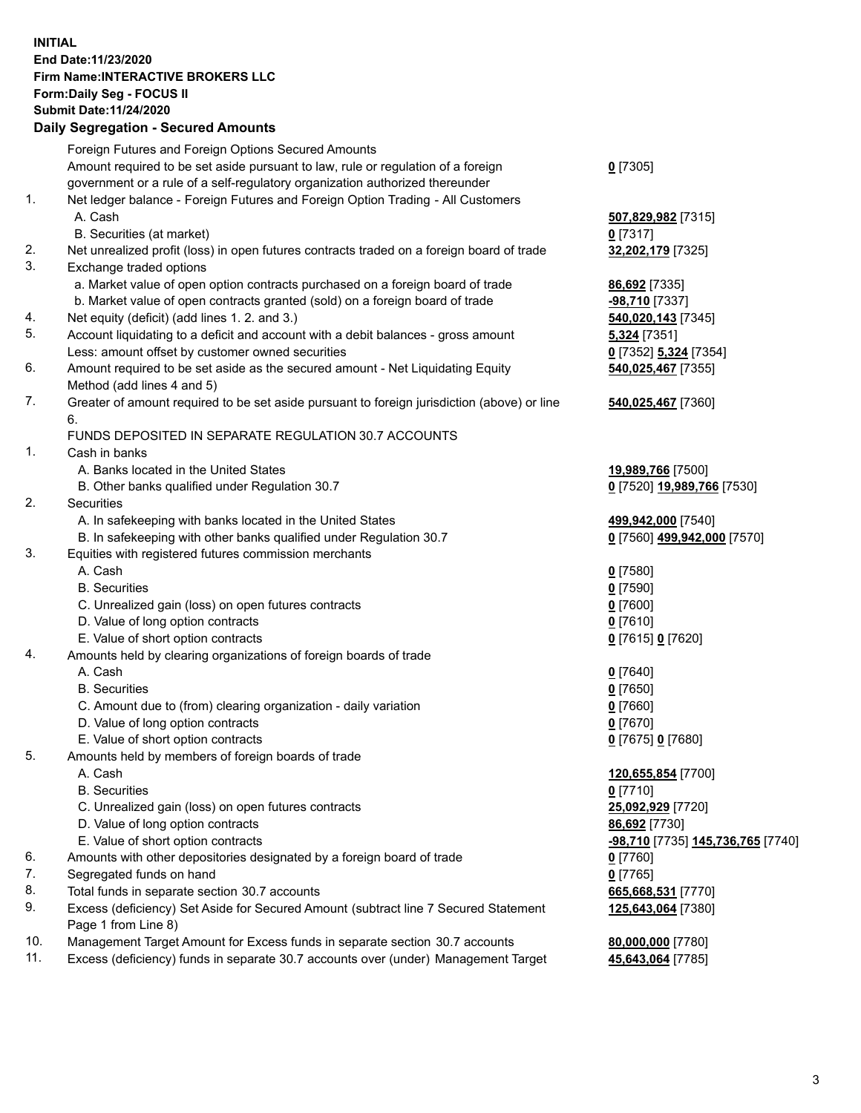## **INITIAL End Date:11/23/2020 Firm Name:INTERACTIVE BROKERS LLC Form:Daily Seg - FOCUS II Submit Date:11/24/2020 Daily Segregation - Secured Amounts**

|     | Dany Ocgregation - Occurea Anioants                                                         |                                   |
|-----|---------------------------------------------------------------------------------------------|-----------------------------------|
|     | Foreign Futures and Foreign Options Secured Amounts                                         |                                   |
|     | Amount required to be set aside pursuant to law, rule or regulation of a foreign            | $0$ [7305]                        |
|     | government or a rule of a self-regulatory organization authorized thereunder                |                                   |
| 1.  | Net ledger balance - Foreign Futures and Foreign Option Trading - All Customers             |                                   |
|     | A. Cash                                                                                     | 507,829,982 [7315]                |
|     | B. Securities (at market)                                                                   | $0$ [7317]                        |
| 2.  | Net unrealized profit (loss) in open futures contracts traded on a foreign board of trade   | 32,202,179 [7325]                 |
| 3.  | Exchange traded options                                                                     |                                   |
|     | a. Market value of open option contracts purchased on a foreign board of trade              | 86,692 [7335]                     |
|     | b. Market value of open contracts granted (sold) on a foreign board of trade                | $-98,710$ [7337]                  |
| 4.  | Net equity (deficit) (add lines 1. 2. and 3.)                                               | 540,020,143 [7345]                |
| 5.  | Account liquidating to a deficit and account with a debit balances - gross amount           | <b>5,324</b> [7351]               |
|     | Less: amount offset by customer owned securities                                            | 0 [7352] 5,324 [7354]             |
| 6.  | Amount required to be set aside as the secured amount - Net Liquidating Equity              | 540,025,467 [7355]                |
|     | Method (add lines 4 and 5)                                                                  |                                   |
| 7.  | Greater of amount required to be set aside pursuant to foreign jurisdiction (above) or line | 540,025,467 [7360]                |
|     | 6.                                                                                          |                                   |
|     | FUNDS DEPOSITED IN SEPARATE REGULATION 30.7 ACCOUNTS                                        |                                   |
| 1.  | Cash in banks                                                                               |                                   |
|     | A. Banks located in the United States                                                       | 19,989,766 [7500]                 |
|     | B. Other banks qualified under Regulation 30.7                                              | 0 [7520] 19,989,766 [7530]        |
| 2.  | <b>Securities</b>                                                                           |                                   |
|     | A. In safekeeping with banks located in the United States                                   | 499,942,000 [7540]                |
|     | B. In safekeeping with other banks qualified under Regulation 30.7                          | 0 [7560] 499,942,000 [7570]       |
| 3.  | Equities with registered futures commission merchants                                       |                                   |
|     | A. Cash                                                                                     | $0$ [7580]                        |
|     | <b>B.</b> Securities                                                                        | $0$ [7590]                        |
|     | C. Unrealized gain (loss) on open futures contracts                                         | $0$ [7600]                        |
|     | D. Value of long option contracts                                                           | $0$ [7610]                        |
|     | E. Value of short option contracts                                                          | 0 [7615] 0 [7620]                 |
| 4.  | Amounts held by clearing organizations of foreign boards of trade                           |                                   |
|     | A. Cash                                                                                     | $0$ [7640]                        |
|     | <b>B.</b> Securities                                                                        | $0$ [7650]                        |
|     | C. Amount due to (from) clearing organization - daily variation                             | $0$ [7660]                        |
|     | D. Value of long option contracts                                                           | $0$ [7670]                        |
|     | E. Value of short option contracts                                                          | 0 [7675] 0 [7680]                 |
| 5.  | Amounts held by members of foreign boards of trade                                          |                                   |
|     | A. Cash                                                                                     | 120,655,854 [7700]                |
|     | <b>B.</b> Securities                                                                        | $0$ [7710]                        |
|     | C. Unrealized gain (loss) on open futures contracts                                         | 25,092,929 [7720]                 |
|     | D. Value of long option contracts                                                           | 86,692 [7730]                     |
|     | E. Value of short option contracts                                                          | -98,710 [7735] 145,736,765 [7740] |
| 6.  | Amounts with other depositories designated by a foreign board of trade                      | $0$ [7760]                        |
| 7.  | Segregated funds on hand                                                                    | $0$ [7765]                        |
| 8.  | Total funds in separate section 30.7 accounts                                               | 665,668,531 [7770]                |
| 9.  | Excess (deficiency) Set Aside for Secured Amount (subtract line 7 Secured Statement         | 125,643,064 [7380]                |
|     | Page 1 from Line 8)                                                                         |                                   |
| 10. | Management Target Amount for Excess funds in separate section 30.7 accounts                 | 80,000,000 [7780]                 |
| 11. | Excess (deficiency) funds in separate 30.7 accounts over (under) Management Target          | 45,643,064 [7785]                 |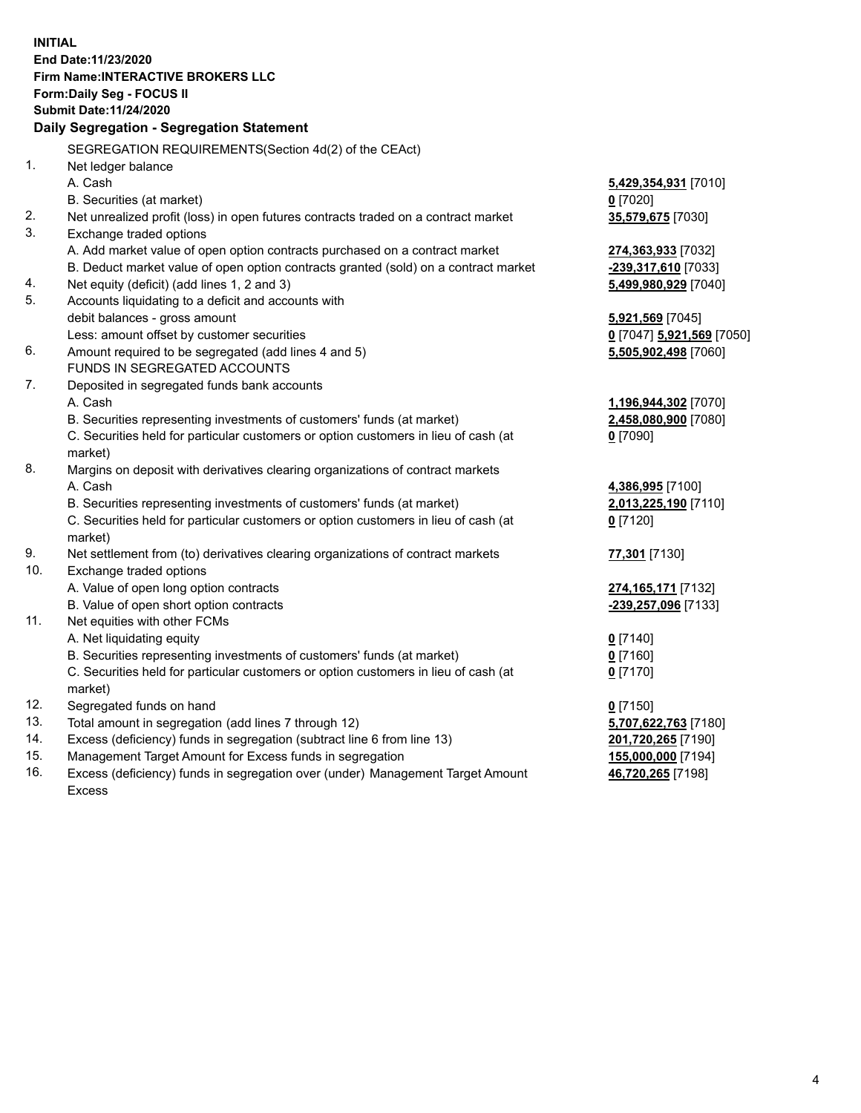**INITIAL End Date:11/23/2020 Firm Name:INTERACTIVE BROKERS LLC Form:Daily Seg - FOCUS II Submit Date:11/24/2020 Daily Segregation - Segregation Statement** SEGREGATION REQUIREMENTS(Section 4d(2) of the CEAct) 1. Net ledger balance A. Cash **5,429,354,931** [7010] B. Securities (at market) **0** [7020] 2. Net unrealized profit (loss) in open futures contracts traded on a contract market **35,579,675** [7030] 3. Exchange traded options A. Add market value of open option contracts purchased on a contract market **274,363,933** [7032] B. Deduct market value of open option contracts granted (sold) on a contract market **-239,317,610** [7033] 4. Net equity (deficit) (add lines 1, 2 and 3) **5,499,980,929** [7040] 5. Accounts liquidating to a deficit and accounts with debit balances - gross amount **5,921,569** [7045] Less: amount offset by customer securities **0** [7047] **5,921,569** [7050] 6. Amount required to be segregated (add lines 4 and 5) **5,505,902,498** [7060] FUNDS IN SEGREGATED ACCOUNTS 7. Deposited in segregated funds bank accounts A. Cash **1,196,944,302** [7070] B. Securities representing investments of customers' funds (at market) **2,458,080,900** [7080] C. Securities held for particular customers or option customers in lieu of cash (at market) **0** [7090] 8. Margins on deposit with derivatives clearing organizations of contract markets A. Cash **4,386,995** [7100] B. Securities representing investments of customers' funds (at market) **2,013,225,190** [7110] C. Securities held for particular customers or option customers in lieu of cash (at market) **0** [7120] 9. Net settlement from (to) derivatives clearing organizations of contract markets **77,301** [7130] 10. Exchange traded options A. Value of open long option contracts **274,165,171** [7132] B. Value of open short option contracts **-239,257,096** [7133] 11. Net equities with other FCMs A. Net liquidating equity **0** [7140] B. Securities representing investments of customers' funds (at market) **0** [7160] C. Securities held for particular customers or option customers in lieu of cash (at market) **0** [7170] 12. Segregated funds on hand **0** [7150] 13. Total amount in segregation (add lines 7 through 12) **5,707,622,763** [7180] 14. Excess (deficiency) funds in segregation (subtract line 6 from line 13) **201,720,265** [7190] 15. Management Target Amount for Excess funds in segregation **155,000,000** [7194] 16. Excess (deficiency) funds in segregation over (under) Management Target Amount **46,720,265** [7198]

Excess